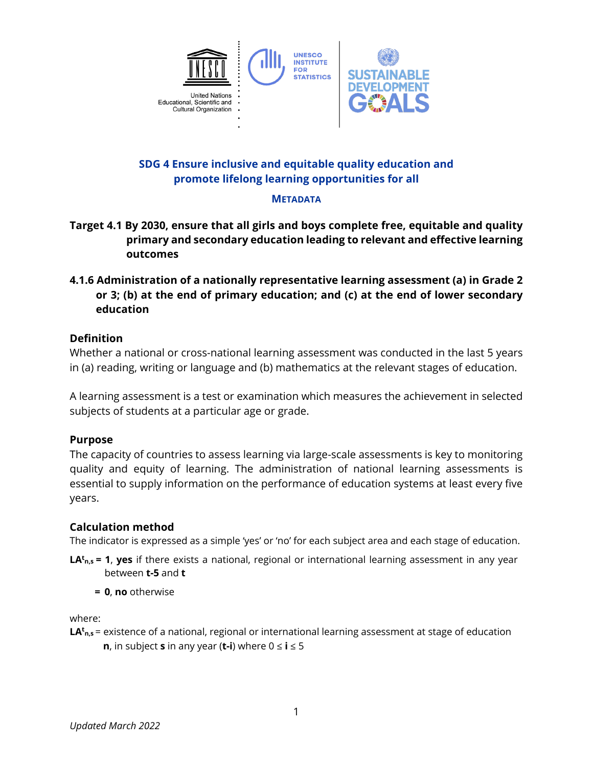

# **SDG 4 Ensure inclusive and equitable quality education and promote lifelong learning opportunities for all**

## **METADATA**

- **Target 4.1 By 2030, ensure that all girls and boys complete free, equitable and quality primary and secondary education leading to relevant and effective learning outcomes**
- **4.1.6 Administration of a nationally representative learning assessment (a) in Grade 2 or 3; (b) at the end of primary education; and (c) at the end of lower secondary education**

# **Definition**

Whether a national or cross-national learning assessment was conducted in the last 5 years in (a) reading, writing or language and (b) mathematics at the relevant stages of education.

A learning assessment is a test or examination which measures the achievement in selected subjects of students at a particular age or grade.

### **Purpose**

The capacity of countries to assess learning via large-scale assessments is key to monitoring quality and equity of learning. The administration of national learning assessments is essential to supply information on the performance of education systems at least every five years.

### **Calculation method**

The indicator is expressed as a simple 'yes' or 'no' for each subject area and each stage of education.

- **LAt n,s = 1**, **yes** if there exists a national, regional or international learning assessment in any year between **t-5** and **t**
	- **= 0**, **no** otherwise

where:

**LAt n,s** = existence of a national, regional or international learning assessment at stage of education **n**, in subject **s** in any year (**t-i**) where  $0 \le i \le 5$